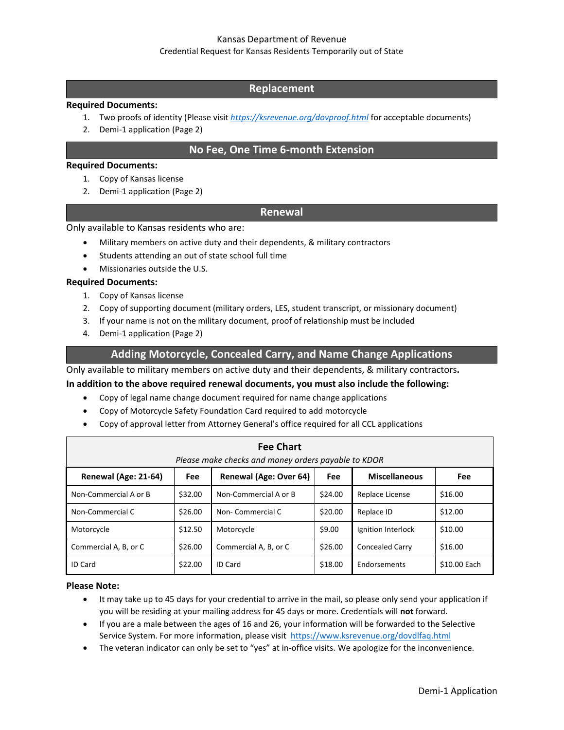# Kansas Department of Revenue

#### Credential Request for Kansas Residents Temporarily out of State

# **Replacement**

#### **Required Documents:**

- 1. Two proofs of identity (Please visit *<https://ksrevenue.org/dovproof.html>* for acceptable documents)
- 2. Demi-1 application (Page 2)

# **No Fee, One Time 6-month Extension**

#### **Required Documents:**

- 1. Copy of Kansas license
- 2. Demi-1 application (Page 2)

## **Renewal**

Only available to Kansas residents who are:

- Military members on active duty and their dependents, & military contractors
- Students attending an out of state school full time
- Missionaries outside the U.S.

#### **Required Documents:**

- 1. Copy of Kansas license
- 2. Copy of supporting document (military orders, LES, student transcript, or missionary document)
- 3. If your name is not on the military document, proof of relationship must be included
- 4. Demi-1 application (Page 2)

# **Adding Motorcycle, Concealed Carry, and Name Change Applications**

Only available to military members on active duty and their dependents, & military contractors**.**

## **In addition to the above required renewal documents, you must also include the following:**

- Copy of legal name change document required for name change applications
- Copy of Motorcycle Safety Foundation Card required to add motorcycle
- Copy of approval letter from Attorney General's office required for all CCL applications

| <b>Fee Chart</b><br>Please make checks and money orders payable to KDOR |         |                        |         |                        |              |  |  |
|-------------------------------------------------------------------------|---------|------------------------|---------|------------------------|--------------|--|--|
| Renewal (Age: 21-64)                                                    | Fee     | Renewal (Age: Over 64) | Fee     | <b>Miscellaneous</b>   | <b>Fee</b>   |  |  |
| Non-Commercial A or B                                                   | \$32.00 | Non-Commercial A or B  | \$24.00 | Replace License        | \$16.00      |  |  |
| Non-Commercial C                                                        | \$26.00 | Non-Commercial C       | \$20.00 | Replace ID             | \$12.00      |  |  |
| Motorcycle                                                              | \$12.50 | Motorcycle             | \$9.00  | Ignition Interlock     | \$10.00      |  |  |
| Commercial A, B, or C                                                   | \$26.00 | Commercial A, B, or C  | \$26.00 | <b>Concealed Carry</b> | \$16.00      |  |  |
| <b>ID Card</b>                                                          | \$22.00 | <b>ID Card</b>         | \$18.00 | Endorsements           | \$10.00 Each |  |  |

#### **Please Note:**

- It may take up to 45 days for your credential to arrive in the mail, so please only send your application if you will be residing at your mailing address for 45 days or more. Credentials will **not** forward.
- If you are a male between the ages of 16 and 26, your information will be forwarded to the Selective Service System. For more information, please visit<https://www.ksrevenue.org/dovdlfaq.html>
- The veteran indicator can only be set to "yes" at in-office visits. We apologize for the inconvenience.